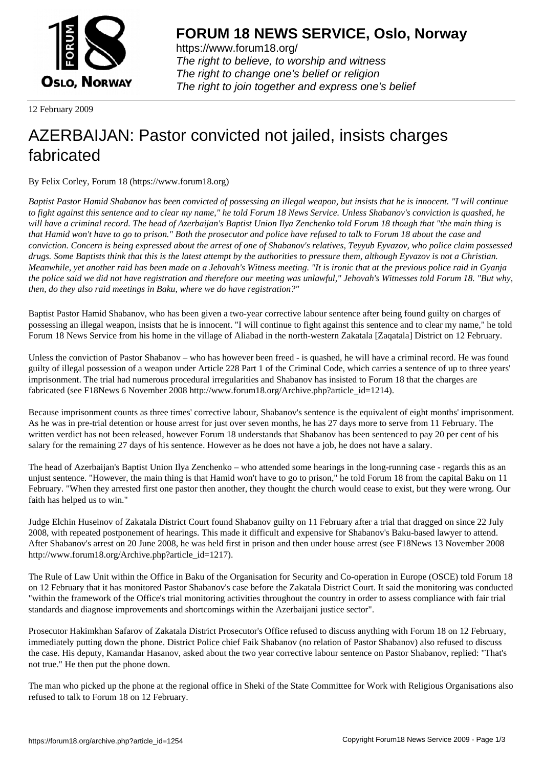

https://www.forum18.org/ The right to believe, to worship and witness The right to change one's belief or religion [The right to join together a](https://www.forum18.org/)nd express one's belief

12 February 2009

## [AZERBAIJAN: P](https://www.forum18.org)astor convicted not jailed, insists charges fabricated

By Felix Corley, Forum 18 (https://www.forum18.org)

*Baptist Pastor Hamid Shabanov has been convicted of possessing an illegal weapon, but insists that he is innocent. "I will continue to fight against this sentence and to clear my name," he told Forum 18 News Service. Unless Shabanov's conviction is quashed, he will have a criminal record. The head of Azerbaijan's Baptist Union Ilya Zenchenko told Forum 18 though that "the main thing is that Hamid won't have to go to prison." Both the prosecutor and police have refused to talk to Forum 18 about the case and conviction. Concern is being expressed about the arrest of one of Shabanov's relatives, Teyyub Eyvazov, who police claim possessed drugs. Some Baptists think that this is the latest attempt by the authorities to pressure them, although Eyvazov is not a Christian. Meanwhile, yet another raid has been made on a Jehovah's Witness meeting. "It is ironic that at the previous police raid in Gyanja the police said we did not have registration and therefore our meeting was unlawful," Jehovah's Witnesses told Forum 18. "But why, then, do they also raid meetings in Baku, where we do have registration?"*

Baptist Pastor Hamid Shabanov, who has been given a two-year corrective labour sentence after being found guilty on charges of possessing an illegal weapon, insists that he is innocent. "I will continue to fight against this sentence and to clear my name," he told Forum 18 News Service from his home in the village of Aliabad in the north-western Zakatala [Zaqatala] District on 12 February.

Unless the conviction of Pastor Shabanov – who has however been freed - is quashed, he will have a criminal record. He was found guilty of illegal possession of a weapon under Article 228 Part 1 of the Criminal Code, which carries a sentence of up to three years' imprisonment. The trial had numerous procedural irregularities and Shabanov has insisted to Forum 18 that the charges are fabricated (see F18News 6 November 2008 http://www.forum18.org/Archive.php?article\_id=1214).

Because imprisonment counts as three times' corrective labour, Shabanov's sentence is the equivalent of eight months' imprisonment. As he was in pre-trial detention or house arrest for just over seven months, he has 27 days more to serve from 11 February. The written verdict has not been released, however Forum 18 understands that Shabanov has been sentenced to pay 20 per cent of his salary for the remaining 27 days of his sentence. However as he does not have a job, he does not have a salary.

The head of Azerbaijan's Baptist Union Ilya Zenchenko – who attended some hearings in the long-running case - regards this as an unjust sentence. "However, the main thing is that Hamid won't have to go to prison," he told Forum 18 from the capital Baku on 11 February. "When they arrested first one pastor then another, they thought the church would cease to exist, but they were wrong. Our faith has helped us to win."

Judge Elchin Huseinov of Zakatala District Court found Shabanov guilty on 11 February after a trial that dragged on since 22 July 2008, with repeated postponement of hearings. This made it difficult and expensive for Shabanov's Baku-based lawyer to attend. After Shabanov's arrest on 20 June 2008, he was held first in prison and then under house arrest (see F18News 13 November 2008 http://www.forum18.org/Archive.php?article\_id=1217).

The Rule of Law Unit within the Office in Baku of the Organisation for Security and Co-operation in Europe (OSCE) told Forum 18 on 12 February that it has monitored Pastor Shabanov's case before the Zakatala District Court. It said the monitoring was conducted "within the framework of the Office's trial monitoring activities throughout the country in order to assess compliance with fair trial standards and diagnose improvements and shortcomings within the Azerbaijani justice sector".

Prosecutor Hakimkhan Safarov of Zakatala District Prosecutor's Office refused to discuss anything with Forum 18 on 12 February, immediately putting down the phone. District Police chief Faik Shabanov (no relation of Pastor Shabanov) also refused to discuss the case. His deputy, Kamandar Hasanov, asked about the two year corrective labour sentence on Pastor Shabanov, replied: "That's not true." He then put the phone down.

The man who picked up the phone at the regional office in Sheki of the State Committee for Work with Religious Organisations also refused to talk to Forum 18 on 12 February.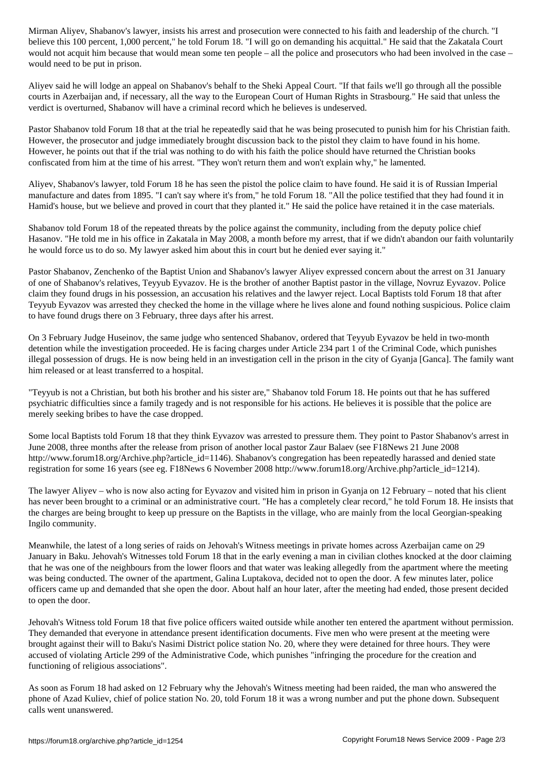believe this 100 percent, 1,000 percent," he told Forum 18. "I will go on demanding his acquittal." He said that the Zakatala Court would not acquit him because that would mean some ten people – all the police and prosecutors who had been involved in the case – would need to be put in prison.

Aliyev said he will lodge an appeal on Shabanov's behalf to the Sheki Appeal Court. "If that fails we'll go through all the possible courts in Azerbaijan and, if necessary, all the way to the European Court of Human Rights in Strasbourg." He said that unless the verdict is overturned, Shabanov will have a criminal record which he believes is undeserved.

Pastor Shabanov told Forum 18 that at the trial he repeatedly said that he was being prosecuted to punish him for his Christian faith. However, the prosecutor and judge immediately brought discussion back to the pistol they claim to have found in his home. However, he points out that if the trial was nothing to do with his faith the police should have returned the Christian books confiscated from him at the time of his arrest. "They won't return them and won't explain why," he lamented.

Aliyev, Shabanov's lawyer, told Forum 18 he has seen the pistol the police claim to have found. He said it is of Russian Imperial manufacture and dates from 1895. "I can't say where it's from," he told Forum 18. "All the police testified that they had found it in Hamid's house, but we believe and proved in court that they planted it." He said the police have retained it in the case materials.

Shabanov told Forum 18 of the repeated threats by the police against the community, including from the deputy police chief Hasanov. "He told me in his office in Zakatala in May 2008, a month before my arrest, that if we didn't abandon our faith voluntarily he would force us to do so. My lawyer asked him about this in court but he denied ever saying it."

Pastor Shabanov, Zenchenko of the Baptist Union and Shabanov's lawyer Aliyev expressed concern about the arrest on 31 January of one of Shabanov's relatives, Teyyub Eyvazov. He is the brother of another Baptist pastor in the village, Novruz Eyvazov. Police claim they found drugs in his possession, an accusation his relatives and the lawyer reject. Local Baptists told Forum 18 that after Teyyub Eyvazov was arrested they checked the home in the village where he lives alone and found nothing suspicious. Police claim to have found drugs there on 3 February, three days after his arrest.

On 3 February Judge Huseinov, the same judge who sentenced Shabanov, ordered that Teyyub Eyvazov be held in two-month detention while the investigation proceeded. He is facing charges under Article 234 part 1 of the Criminal Code, which punishes illegal possession of drugs. He is now being held in an investigation cell in the prison in the city of Gyanja [Ganca]. The family want him released or at least transferred to a hospital.

"Teyyub is not a Christian, but both his brother and his sister are," Shabanov told Forum 18. He points out that he has suffered psychiatric difficulties since a family tragedy and is not responsible for his actions. He believes it is possible that the police are merely seeking bribes to have the case dropped.

Some local Baptists told Forum 18 that they think Eyvazov was arrested to pressure them. They point to Pastor Shabanov's arrest in June 2008, three months after the release from prison of another local pastor Zaur Balaev (see F18News 21 June 2008 http://www.forum18.org/Archive.php?article\_id=1146). Shabanov's congregation has been repeatedly harassed and denied state registration for some 16 years (see eg. F18News 6 November 2008 http://www.forum18.org/Archive.php?article\_id=1214).

The lawyer Aliyev – who is now also acting for Eyvazov and visited him in prison in Gyanja on 12 February – noted that his client has never been brought to a criminal or an administrative court. "He has a completely clear record," he told Forum 18. He insists that the charges are being brought to keep up pressure on the Baptists in the village, who are mainly from the local Georgian-speaking Ingilo community.

Meanwhile, the latest of a long series of raids on Jehovah's Witness meetings in private homes across Azerbaijan came on 29 January in Baku. Jehovah's Witnesses told Forum 18 that in the early evening a man in civilian clothes knocked at the door claiming that he was one of the neighbours from the lower floors and that water was leaking allegedly from the apartment where the meeting was being conducted. The owner of the apartment, Galina Luptakova, decided not to open the door. A few minutes later, police officers came up and demanded that she open the door. About half an hour later, after the meeting had ended, those present decided to open the door.

Jehovah's Witness told Forum 18 that five police officers waited outside while another ten entered the apartment without permission. They demanded that everyone in attendance present identification documents. Five men who were present at the meeting were brought against their will to Baku's Nasimi District police station No. 20, where they were detained for three hours. They were accused of violating Article 299 of the Administrative Code, which punishes "infringing the procedure for the creation and functioning of religious associations".

As soon as Forum 18 had asked on 12 February why the Jehovah's Witness meeting had been raided, the man who answered the phone of Azad Kuliev, chief of police station No. 20, told Forum 18 it was a wrong number and put the phone down. Subsequent calls went unanswered.